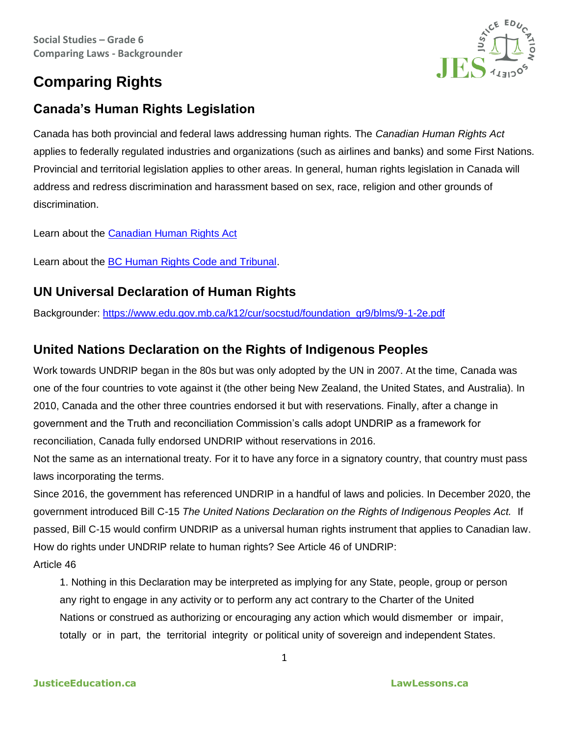## **Comparing Rights**



## **Canada's Human Rights Legislation**

Canada has both provincial and federal laws addressing human rights. The *Canadian Human Rights Act* applies to federally regulated industries and organizations (such as airlines and banks) and some First Nations. Provincial and territorial legislation applies to other areas. In general, human rights legislation in Canada will address and redress discrimination and harassment based on sex, race, religion and other grounds of discrimination.

Learn about the [Canadian Human Rights Act](https://www.chrc-ccdp.gc.ca/eng/content/your-guide-understanding-canadian-human-rights-act-page1)

Learn about the [BC Human Rights Code and Tribunal.](http://www.bchrt.bc.ca/law-library/guides-info-sheets/guides/human-rights.htm)

## **UN Universal Declaration of Human Rights**

Backgrounder: [https://www.edu.gov.mb.ca/k12/cur/socstud/foundation\\_gr9/blms/9-1-2e.pdf](https://www.edu.gov.mb.ca/k12/cur/socstud/foundation_gr9/blms/9-1-2e.pdf)

## **United Nations Declaration on the Rights of Indigenous Peoples**

Work towards UNDRIP began in the 80s but was only adopted by the UN in 2007. At the time, Canada was one of the four countries to vote against it (the other being New Zealand, the United States, and Australia). In 2010, Canada and the other three countries endorsed it but with reservations. Finally, after a change in government and the Truth and reconciliation Commission's calls adopt UNDRIP as a framework for reconciliation, Canada fully endorsed UNDRIP without reservations in 2016.

Not the same as an international treaty. For it to have any force in a signatory country, that country must pass laws incorporating the terms.

Since 2016, the government has referenced UNDRIP in a handful of laws and policies. In December 2020, the government introduced Bill C-15 *The United Nations Declaration on the Rights of Indigenous Peoples Act.* If passed, [Bill C-15 would confirm UNDRIP as a universal human rights instrument that applies to Canadian law.](https://www.canadianlawyermag.com/practice-areas/indigenous/indigenous-law-expert-explains-how-undrip-advances-the-law-of-consultation-and-consent/330496) How do rights under UNDRIP relate to human rights? See Article 46 of UNDRIP: Article 46

1. Nothing in this Declaration may be interpreted as implying for any State, people, group or person any right to engage in any activity or to perform any act contrary to the Charter of the United Nations or construed as authorizing or encouraging any action which would dismember or impair, totally or in part, the territorial integrity or political unity of sovereign and independent States.